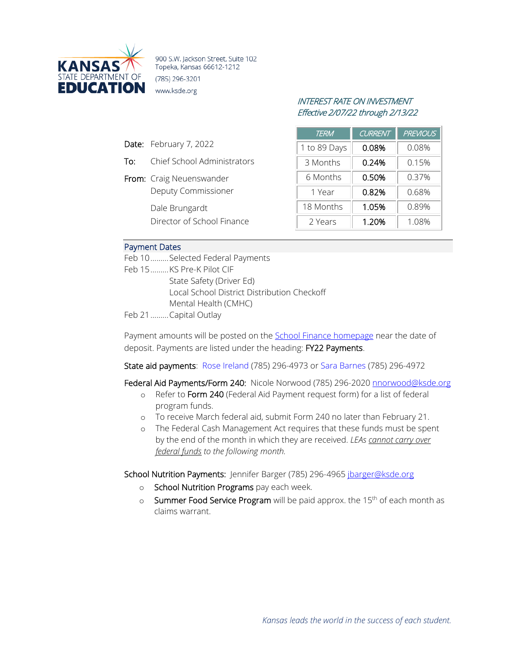

900 S.W. Jackson Street, Suite 102 Topeka, Kansas 66612-1212 (785) 296-3201 www.ksde.org

# INTEREST RATE ON INVESTMENT Effective 2/07/22 through 2/13/22

| <b>TERM</b>  | <b>CURRENT</b> | <b>PREVIOUS</b> |
|--------------|----------------|-----------------|
| 1 to 89 Days | 0.08%          | 0.08%           |
| 3 Months     | 0.24%          | 0.15%           |
| 6 Months     | 0.50%          | 0.37%           |
| 1 Year       | 0.82%          | 0.68%           |
| 18 Months    | 1.05%          | 0.89%           |
| 2 Years      | 1.20%          | 1.08%           |

### Payment Dates

Date: February 7, 2022

From: Craig Neuenswander

Dale Brungardt

To: Chief School Administrators

Deputy Commissioner

Director of School Finance

Feb 10.........Selected Federal Payments Feb 15.........KS Pre-K Pilot CIF State Safety (Driver Ed) Local School District Distribution Checkoff Mental Health (CMHC) Feb 21.........Capital Outlay

Payment amounts will be posted on the **School Finance homepage** near the date of

deposit. Payments are listed under the heading: FY22 Payments.

State aid payments: [Rose Ireland](mailto:rireland@ksde.org) (785) 296-4973 o[r Sara Barnes](mailto:sbarnes@ksde.org) (785) 296-4972

Federal Aid Payments/Form 240: Nicole Norwood (785) 296-2020 [nnorwood@ksde.org](mailto:nnorwood@ksde.org)

- o Refer to Form 240 (Federal Aid Payment request form) for a list of federal program funds.
- o To receive March federal aid, submit Form 240 no later than February 21.
- o The Federal Cash Management Act requires that these funds must be spent by the end of the month in which they are received. *LEAs cannot carry over federal funds to the following month.*

School Nutrition Payments: Jennifer Barger (785) 296-4965 [jbarger@ksde.org](mailto:jbarger@ksde.org)

- o School Nutrition Programs pay each week.
- o Summer Food Service Program will be paid approx. the 15<sup>th</sup> of each month as claims warrant.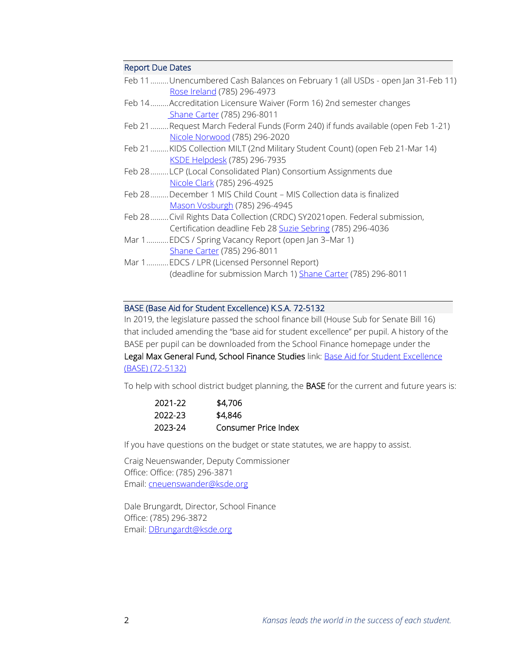#### Report Due Dates

| Feb 11Unencumbered Cash Balances on February 1 (all USDs - open Jan 31-Feb 11)<br>Rose Ireland (785) 296-4973                            |
|------------------------------------------------------------------------------------------------------------------------------------------|
| Feb 14Accreditation Licensure Waiver (Form 16) 2nd semester changes<br>Shane Carter (785) 296-8011                                       |
| Feb 21  Request March Federal Funds (Form 240) if funds available (open Feb 1-21)<br>Nicole Norwood (785) 296-2020                       |
| Feb 21  KIDS Collection MILT (2nd Military Student Count) (open Feb 21-Mar 14)<br>KSDE Helpdesk (785) 296-7935                           |
| Feb 28LCP (Local Consolidated Plan) Consortium Assignments due<br>Nicole Clark (785) 296-4925                                            |
| Feb 28December 1 MIS Child Count - MIS Collection data is finalized<br>Mason Vosburgh (785) 296-4945                                     |
| Feb 28 Civil Rights Data Collection (CRDC) SY2021open. Federal submission,<br>Certification deadline Feb 28 Suzie Sebring (785) 296-4036 |
| Mar 1 EDCS / Spring Vacancy Report (open Jan 3-Mar 1)<br>Shane Carter (785) 296-8011                                                     |
| Mar 1 EDCS / LPR (Licensed Personnel Report)<br>(deadline for submission March 1) Shane Carter (785) 296-8011                            |

## BASE (Base Aid for Student Excellence) K.S.A. 72-5132

In 2019, the legislature passed the school finance bill (House Sub for Senate Bill 16) that included amending the "base aid for student excellence" per pupil. A history of the BASE per pupil can be downloaded from the School Finance homepage under the Legal Max General Fund, School Finance Studies link: Base Aid for Student Excellence [\(BASE\) \(72-5132\)](https://www.ksde.org/Portals/0/School%20Finance/Base%20State%20Aid%20for%20Excellence.pdf?ver=2021-09-23-104644-393)

To help with school district budget planning, the BASE for the current and future years is:

| 2021-22 | \$4,706              |
|---------|----------------------|
| 2022-23 | \$4.846              |
| 2023-24 | Consumer Price Index |

If you have questions on the budget or state statutes, we are happy to assist.

Craig Neuenswander, Deputy Commissioner Office: Office: (785) 296-3871 Email[: cneuenswander@ksde.org](mailto:cneuenswander@ksde.org)

Dale Brungardt, Director, School Finance Office: (785) 296-3872 Email[: DBrungardt@ksde.org](mailto:DBrungardt@ksde.org)